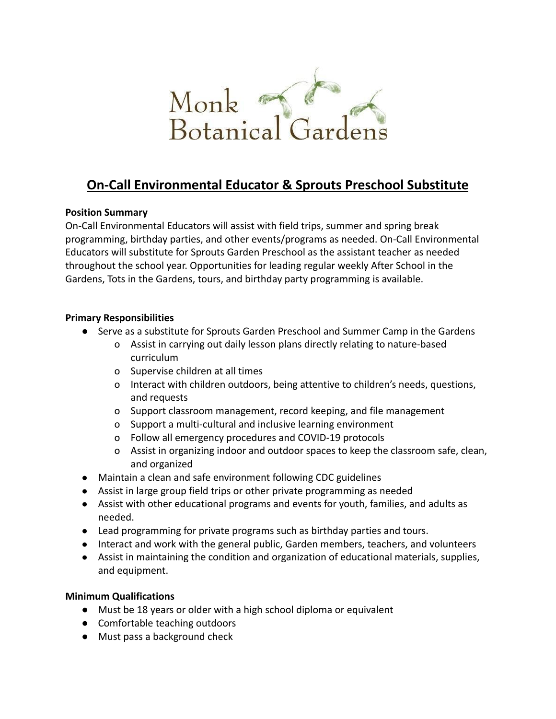

# **On-Call Environmental Educator & Sprouts Preschool Substitute**

## **Position Summary**

On-Call Environmental Educators will assist with field trips, summer and spring break programming, birthday parties, and other events/programs as needed. On-Call Environmental Educators will substitute for Sprouts Garden Preschool as the assistant teacher as needed throughout the school year. Opportunities for leading regular weekly After School in the Gardens, Tots in the Gardens, tours, and birthday party programming is available.

#### **Primary Responsibilities**

- Serve as a substitute for Sprouts Garden Preschool and Summer Camp in the Gardens
	- o Assist in carrying out daily lesson plans directly relating to nature-based curriculum
	- o Supervise children at all times
	- o Interact with children outdoors, being attentive to children's needs, questions, and requests
	- o Support classroom management, record keeping, and file management
	- o Support a multi-cultural and inclusive learning environment
	- o Follow all emergency procedures and COVID-19 protocols
	- o Assist in organizing indoor and outdoor spaces to keep the classroom safe, clean, and organized
- Maintain a clean and safe environment following CDC guidelines
- Assist in large group field trips or other private programming as needed
- Assist with other educational programs and events for youth, families, and adults as needed.
- Lead programming for private programs such as birthday parties and tours.
- Interact and work with the general public, Garden members, teachers, and volunteers
- Assist in maintaining the condition and organization of educational materials, supplies, and equipment.

#### **Minimum Qualifications**

- **●** Must be 18 years or older with a high school diploma or equivalent
- **●** Comfortable teaching outdoors
- **●** Must pass a background check